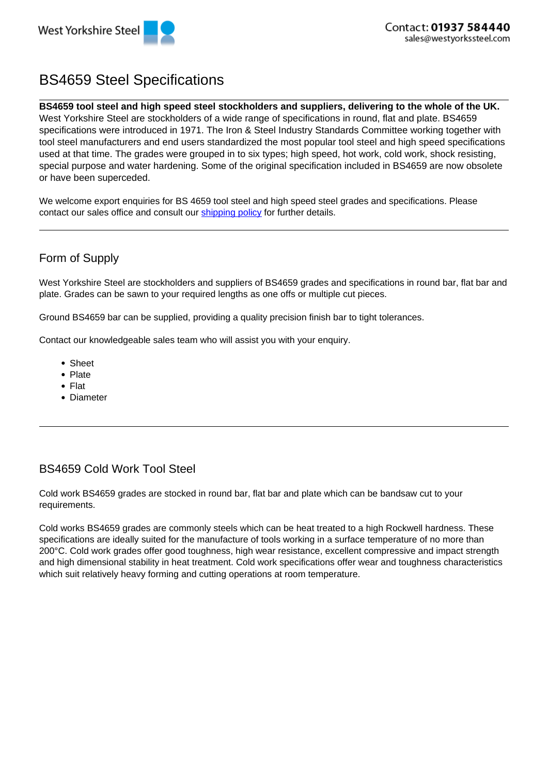

# BS4659 Steel Specifications

#### **BS4659 tool steel and high speed steel stockholders and suppliers, delivering to the whole of the UK.**

West Yorkshire Steel are stockholders of a wide range of specifications in round, flat and plate. BS4659 specifications were introduced in 1971. The Iron & Steel Industry Standards Committee working together with tool steel manufacturers and end users standardized the most popular tool steel and high speed specifications used at that time. The grades were grouped in to six types; high speed, hot work, cold work, shock resisting, special purpose and water hardening. Some of the original specification included in BS4659 are now obsolete or have been superceded.

We welcome export enquiries for BS 4659 tool steel and high speed steel grades and specifications. Please contact our sales office and consult our **shipping policy** for further details.

# Form of Supply

West Yorkshire Steel are stockholders and suppliers of BS4659 grades and specifications in round bar, flat bar and plate. Grades can be sawn to your required lengths as one offs or multiple cut pieces.

Ground BS4659 bar can be supplied, providing a quality precision finish bar to tight tolerances.

Contact our knowledgeable sales team who will assist you with your enquiry.

- Sheet
- Plate
- Flat
- Diameter

# BS4659 Cold Work Tool Steel

Cold work BS4659 grades are stocked in round bar, flat bar and plate which can be bandsaw cut to your requirements.

Cold works BS4659 grades are commonly steels which can be heat treated to a high Rockwell hardness. These specifications are ideally suited for the manufacture of tools working in a surface temperature of no more than 200°C. Cold work grades offer good toughness, high wear resistance, excellent compressive and impact strength and high dimensional stability in heat treatment. Cold work specifications offer wear and toughness characteristics which suit relatively heavy forming and cutting operations at room temperature.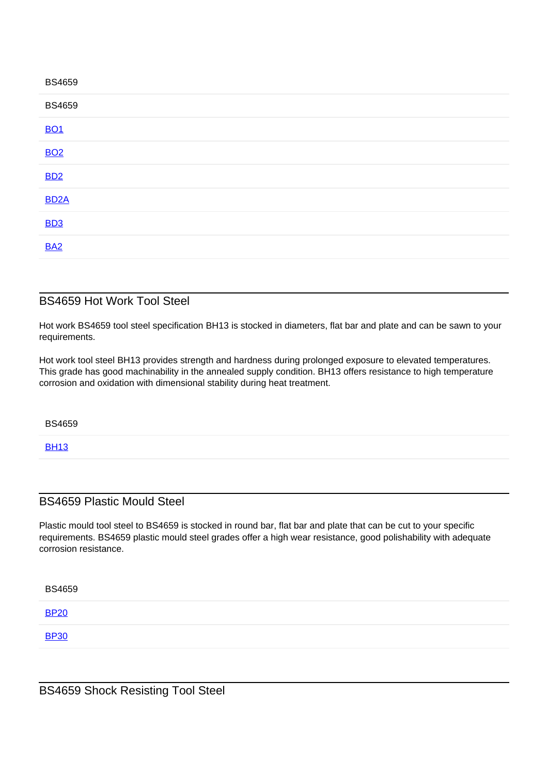| <b>BS4659</b>     |  |  |  |
|-------------------|--|--|--|
| <b>BS4659</b>     |  |  |  |
| <b>BO1</b>        |  |  |  |
| <b>BO2</b>        |  |  |  |
| <b>BD2</b>        |  |  |  |
| BD <sub>2</sub> A |  |  |  |
| <b>BD3</b>        |  |  |  |
| <b>BA2</b>        |  |  |  |
|                   |  |  |  |

#### BS4659 Hot Work Tool Steel

Hot work BS4659 tool steel specification BH13 is stocked in diameters, flat bar and plate and can be sawn to your requirements.

Hot work tool steel BH13 provides strength and hardness during prolonged exposure to elevated temperatures. This grade has good machinability in the annealed supply condition. BH13 offers resistance to high temperature corrosion and oxidation with dimensional stability during heat treatment.

BS4659

**BH13** 

## BS4659 Plastic Mould Steel

Plastic mould tool steel to BS4659 is stocked in round bar, flat bar and plate that can be cut to your specific requirements. BS4659 plastic mould steel grades offer a high wear resistance, good polishability with adequate corrosion resistance.

| <b>BS4659</b> |  |  |
|---------------|--|--|
| <b>BP20</b>   |  |  |
| <b>BP30</b>   |  |  |
|               |  |  |